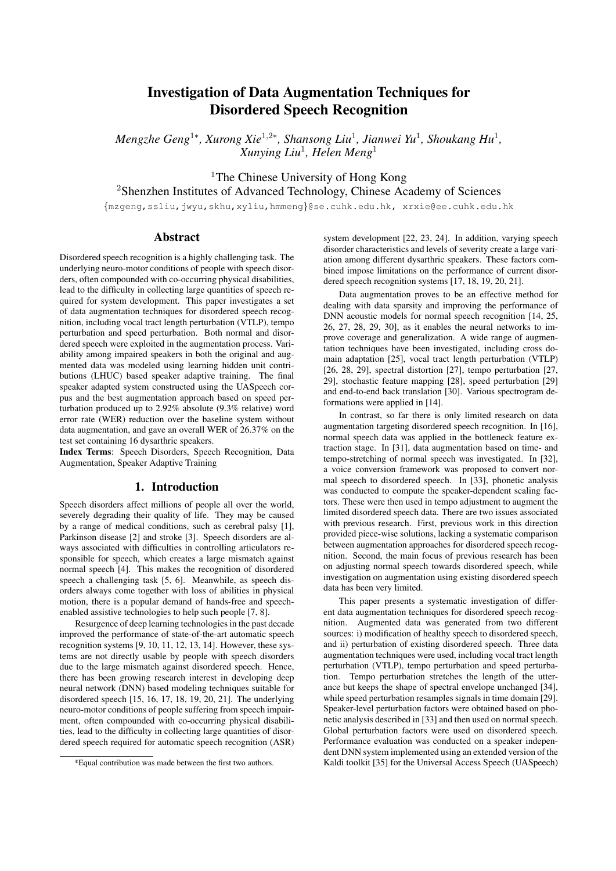# Investigation of Data Augmentation Techniques for Disordered Speech Recognition

*Mengzhe Geng*<sup>1∗</sup>, *Xurong Xie<sup>1,2</sup>\*, Shansong Liu<sup>1</sup>, Jianwei Yu<sup>1</sup>, Shoukang Hu<sup>1</sup>, Xunying Liu*<sup>1</sup> *, Helen Meng*<sup>1</sup>

<sup>1</sup>The Chinese University of Hong Kong

<sup>2</sup>Shenzhen Institutes of Advanced Technology, Chinese Academy of Sciences

{mzgeng,ssliu,jwyu,skhu,xyliu,hmmeng}@se.cuhk.edu.hk, xrxie@ee.cuhk.edu.hk

# Abstract

Disordered speech recognition is a highly challenging task. The underlying neuro-motor conditions of people with speech disorders, often compounded with co-occurring physical disabilities, lead to the difficulty in collecting large quantities of speech required for system development. This paper investigates a set of data augmentation techniques for disordered speech recognition, including vocal tract length perturbation (VTLP), tempo perturbation and speed perturbation. Both normal and disordered speech were exploited in the augmentation process. Variability among impaired speakers in both the original and augmented data was modeled using learning hidden unit contributions (LHUC) based speaker adaptive training. The final speaker adapted system constructed using the UASpeech corpus and the best augmentation approach based on speed perturbation produced up to 2.92% absolute (9.3% relative) word error rate (WER) reduction over the baseline system without data augmentation, and gave an overall WER of 26.37% on the test set containing 16 dysarthric speakers.

Index Terms: Speech Disorders, Speech Recognition, Data Augmentation, Speaker Adaptive Training

# 1. Introduction

Speech disorders affect millions of people all over the world, severely degrading their quality of life. They may be caused by a range of medical conditions, such as cerebral palsy [1], Parkinson disease [2] and stroke [3]. Speech disorders are always associated with difficulties in controlling articulators responsible for speech, which creates a large mismatch against normal speech [4]. This makes the recognition of disordered speech a challenging task [5, 6]. Meanwhile, as speech disorders always come together with loss of abilities in physical motion, there is a popular demand of hands-free and speechenabled assistive technologies to help such people [7, 8].

Resurgence of deep learning technologies in the past decade improved the performance of state-of-the-art automatic speech recognition systems [9, 10, 11, 12, 13, 14]. However, these systems are not directly usable by people with speech disorders due to the large mismatch against disordered speech. Hence, there has been growing research interest in developing deep neural network (DNN) based modeling techniques suitable for disordered speech [15, 16, 17, 18, 19, 20, 21]. The underlying neuro-motor conditions of people suffering from speech impairment, often compounded with co-occurring physical disabilities, lead to the difficulty in collecting large quantities of disordered speech required for automatic speech recognition (ASR) system development [22, 23, 24]. In addition, varying speech disorder characteristics and levels of severity create a large variation among different dysarthric speakers. These factors combined impose limitations on the performance of current disordered speech recognition systems [17, 18, 19, 20, 21].

Data augmentation proves to be an effective method for dealing with data sparsity and improving the performance of DNN acoustic models for normal speech recognition [14, 25, 26, 27, 28, 29, 30], as it enables the neural networks to improve coverage and generalization. A wide range of augmentation techniques have been investigated, including cross domain adaptation [25], vocal tract length perturbation (VTLP) [26, 28, 29], spectral distortion [27], tempo perturbation [27, 29], stochastic feature mapping [28], speed perturbation [29] and end-to-end back translation [30]. Various spectrogram deformations were applied in [14].

In contrast, so far there is only limited research on data augmentation targeting disordered speech recognition. In [16], normal speech data was applied in the bottleneck feature extraction stage. In [31], data augmentation based on time- and tempo-stretching of normal speech was investigated. In [32], a voice conversion framework was proposed to convert normal speech to disordered speech. In [33], phonetic analysis was conducted to compute the speaker-dependent scaling factors. These were then used in tempo adjustment to augment the limited disordered speech data. There are two issues associated with previous research. First, previous work in this direction provided piece-wise solutions, lacking a systematic comparison between augmentation approaches for disordered speech recognition. Second, the main focus of previous research has been on adjusting normal speech towards disordered speech, while investigation on augmentation using existing disordered speech data has been very limited.

This paper presents a systematic investigation of different data augmentation techniques for disordered speech recognition. Augmented data was generated from two different sources: i) modification of healthy speech to disordered speech, and ii) perturbation of existing disordered speech. Three data augmentation techniques were used, including vocal tract length perturbation (VTLP), tempo perturbation and speed perturbation. Tempo perturbation stretches the length of the utterance but keeps the shape of spectral envelope unchanged [34], while speed perturbation resamples signals in time domain [29]. Speaker-level perturbation factors were obtained based on phonetic analysis described in [33] and then used on normal speech. Global perturbation factors were used on disordered speech. Performance evaluation was conducted on a speaker independent DNN system implemented using an extended version of the Kaldi toolkit [35] for the Universal Access Speech (UASpeech)

<sup>\*</sup>Equal contribution was made between the first two authors.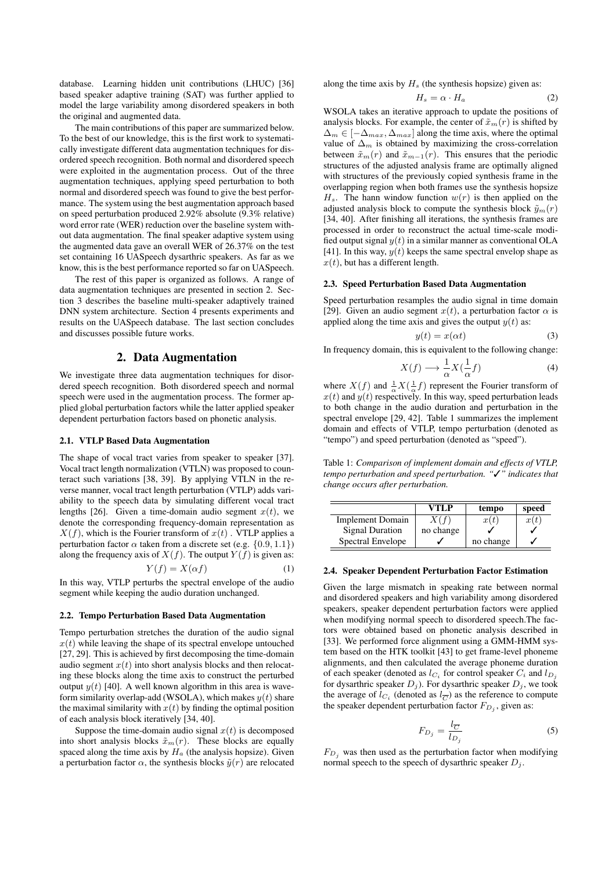database. Learning hidden unit contributions (LHUC) [36] based speaker adaptive training (SAT) was further applied to model the large variability among disordered speakers in both the original and augmented data.

The main contributions of this paper are summarized below. To the best of our knowledge, this is the first work to systematically investigate different data augmentation techniques for disordered speech recognition. Both normal and disordered speech were exploited in the augmentation process. Out of the three augmentation techniques, applying speed perturbation to both normal and disordered speech was found to give the best performance. The system using the best augmentation approach based on speed perturbation produced 2.92% absolute (9.3% relative) word error rate (WER) reduction over the baseline system without data augmentation. The final speaker adaptive system using the augmented data gave an overall WER of 26.37% on the test set containing 16 UASpeech dysarthric speakers. As far as we know, this is the best performance reported so far on UASpeech.

The rest of this paper is organized as follows. A range of data augmentation techniques are presented in section 2. Section 3 describes the baseline multi-speaker adaptively trained DNN system architecture. Section 4 presents experiments and results on the UASpeech database. The last section concludes and discusses possible future works.

# 2. Data Augmentation

We investigate three data augmentation techniques for disordered speech recognition. Both disordered speech and normal speech were used in the augmentation process. The former applied global perturbation factors while the latter applied speaker dependent perturbation factors based on phonetic analysis.

#### 2.1. VTLP Based Data Augmentation

The shape of vocal tract varies from speaker to speaker [37]. Vocal tract length normalization (VTLN) was proposed to counteract such variations [38, 39]. By applying VTLN in the reverse manner, vocal tract length perturbation (VTLP) adds variability to the speech data by simulating different vocal tract lengths [26]. Given a time-domain audio segment  $x(t)$ , we denote the corresponding frequency-domain representation as  $X(f)$ , which is the Fourier transform of  $x(t)$ . VTLP applies a perturbation factor  $\alpha$  taken from a discrete set (e.g.  $\{0.9, 1.1\}$ ) along the frequency axis of  $X(f)$ . The output  $Y(f)$  is given as:

$$
Y(f) = X(\alpha f) \tag{1}
$$

In this way, VTLP perturbs the spectral envelope of the audio segment while keeping the audio duration unchanged.

#### 2.2. Tempo Perturbation Based Data Augmentation

Tempo perturbation stretches the duration of the audio signal  $x(t)$  while leaving the shape of its spectral envelope untouched [27, 29]. This is achieved by first decomposing the time-domain audio segment  $x(t)$  into short analysis blocks and then relocating these blocks along the time axis to construct the perturbed output  $y(t)$  [40]. A well known algorithm in this area is waveform similarity overlap-add (WSOLA), which makes  $y(t)$  share the maximal similarity with  $x(t)$  by finding the optimal position of each analysis block iteratively [34, 40].

Suppose the time-domain audio signal  $x(t)$  is decomposed into short analysis blocks  $\tilde{x}_m(r)$ . These blocks are equally spaced along the time axis by  $H_a$  (the analysis hopsize). Given a perturbation factor  $\alpha$ , the synthesis blocks  $\tilde{y}(r)$  are relocated along the time axis by  $H_s$  (the synthesis hopsize) given as:

$$
H_s = \alpha \cdot H_a \tag{2}
$$

WSOLA takes an iterative approach to update the positions of analysis blocks. For example, the center of  $\tilde{x}_m(r)$  is shifted by  $\Delta_m \in [-\Delta_{max}, \Delta_{max}]$  along the time axis, where the optimal value of  $\Delta_m$  is obtained by maximizing the cross-correlation between  $\tilde{x}_m(r)$  and  $\tilde{x}_{m-1}(r)$ . This ensures that the periodic structures of the adjusted analysis frame are optimally aligned with structures of the previously copied synthesis frame in the overlapping region when both frames use the synthesis hopsize  $H_s$ . The hann window function  $w(r)$  is then applied on the adjusted analysis block to compute the synthesis block  $\tilde{y}_m(r)$ [34, 40]. After finishing all iterations, the synthesis frames are processed in order to reconstruct the actual time-scale modified output signal  $y(t)$  in a similar manner as conventional OLA [41]. In this way,  $y(t)$  keeps the same spectral envelop shape as  $x(t)$ , but has a different length.

#### 2.3. Speed Perturbation Based Data Augmentation

Speed perturbation resamples the audio signal in time domain [29]. Given an audio segment  $x(t)$ , a perturbation factor  $\alpha$  is applied along the time axis and gives the output  $y(t)$  as:

$$
y(t) = x(\alpha t) \tag{3}
$$

In frequency domain, this is equivalent to the following change:

$$
X(f) \longrightarrow \frac{1}{\alpha} X(\frac{1}{\alpha}f) \tag{4}
$$

where  $X(f)$  and  $\frac{1}{\alpha}X(\frac{1}{\alpha}f)$  represent the Fourier transform of  $x(t)$  and  $y(t)$  respectively. In this way, speed perturbation leads to both change in the audio duration and perturbation in the spectral envelope [29, 42]. Table 1 summarizes the implement domain and effects of VTLP, tempo perturbation (denoted as "tempo") and speed perturbation (denoted as "speed").

Table 1: *Comparison of implement domain and effects of VTLP, tempo perturbation and speed perturbation. "*✓*" indicates that change occurs after perturbation.*

|                         | VTLP      | tempo     | speed |
|-------------------------|-----------|-----------|-------|
| <b>Implement Domain</b> | X(f)      | x(t)      | x(t)  |
| <b>Signal Duration</b>  | no change |           |       |
| Spectral Envelope       |           | no change |       |

#### 2.4. Speaker Dependent Perturbation Factor Estimation

Given the large mismatch in speaking rate between normal and disordered speakers and high variability among disordered speakers, speaker dependent perturbation factors were applied when modifying normal speech to disordered speech.The factors were obtained based on phonetic analysis described in [33]. We performed force alignment using a GMM-HMM system based on the HTK toolkit [43] to get frame-level phoneme alignments, and then calculated the average phoneme duration of each speaker (denoted as  $l_{C_i}$  for control speaker  $C_i$  and  $l_{D_j}$ for dysarthric speaker  $D_j$ ). For dysarthric speaker  $D_j$ , we took the average of  $l_{C_i}$  (denoted as  $l_{\overline{C}}$ ) as the reference to compute the speaker dependent perturbation factor  $F_{D_j}$ , given as:

$$
F_{D_j} = \frac{l_{\overline{C}}}{l_{D_j}}\tag{5}
$$

 $F_{D_i}$  was then used as the perturbation factor when modifying normal speech to the speech of dysarthric speaker  $D_j$ .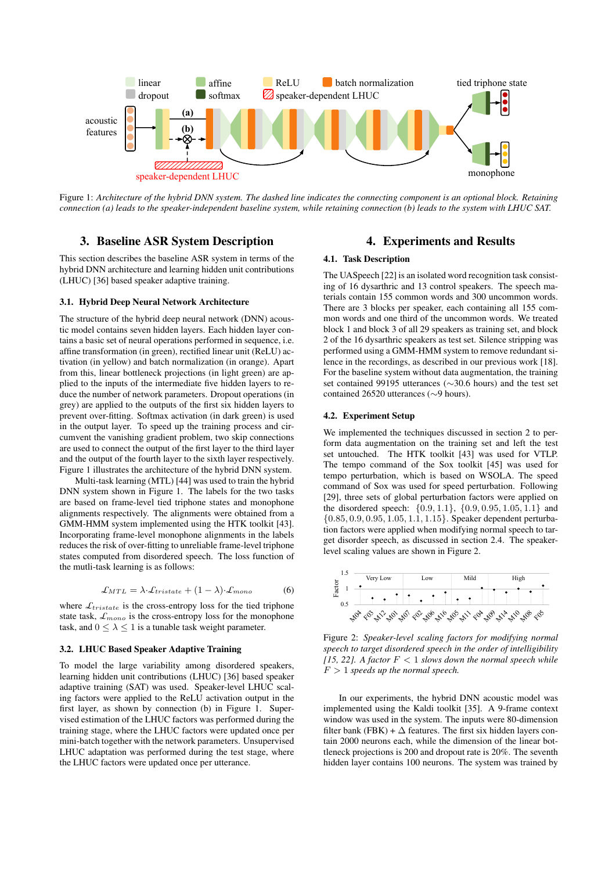

Figure 1: *Architecture of the hybrid DNN system. The dashed line indicates the connecting component is an optional block. Retaining connection (a) leads to the speaker-independent baseline system, while retaining connection (b) leads to the system with LHUC SAT.*

# 3. Baseline ASR System Description

This section describes the baseline ASR system in terms of the hybrid DNN architecture and learning hidden unit contributions (LHUC) [36] based speaker adaptive training.

#### 3.1. Hybrid Deep Neural Network Architecture

The structure of the hybrid deep neural network (DNN) acoustic model contains seven hidden layers. Each hidden layer contains a basic set of neural operations performed in sequence, i.e. affine transformation (in green), rectified linear unit (ReLU) activation (in yellow) and batch normalization (in orange). Apart from this, linear bottleneck projections (in light green) are applied to the inputs of the intermediate five hidden layers to reduce the number of network parameters. Dropout operations (in grey) are applied to the outputs of the first six hidden layers to prevent over-fitting. Softmax activation (in dark green) is used in the output layer. To speed up the training process and circumvent the vanishing gradient problem, two skip connections are used to connect the output of the first layer to the third layer and the output of the fourth layer to the sixth layer respectively. Figure 1 illustrates the architecture of the hybrid DNN system.

Multi-task learning (MTL) [44] was used to train the hybrid DNN system shown in Figure 1. The labels for the two tasks are based on frame-level tied triphone states and monophone alignments respectively. The alignments were obtained from a GMM-HMM system implemented using the HTK toolkit [43]. Incorporating frame-level monophone alignments in the labels reduces the risk of over-fitting to unreliable frame-level triphone states computed from disordered speech. The loss function of the mutli-task learning is as follows:

$$
\mathcal{L}_{MTL} = \lambda \cdot \mathcal{L}_{tristate} + (1 - \lambda) \cdot \mathcal{L}_{mono}
$$
 (6)

where  $\mathcal{L}_{tristate}$  is the cross-entropy loss for the tied triphone state task,  $\mathcal{L}_{mono}$  is the cross-entropy loss for the monophone task, and  $0 \leq \lambda \leq 1$  is a tunable task weight parameter.

### 3.2. LHUC Based Speaker Adaptive Training

To model the large variability among disordered speakers, learning hidden unit contributions (LHUC) [36] based speaker adaptive training (SAT) was used. Speaker-level LHUC scaling factors were applied to the ReLU activation output in the first layer, as shown by connection (b) in Figure 1. Supervised estimation of the LHUC factors was performed during the training stage, where the LHUC factors were updated once per mini-batch together with the network parameters. Unsupervised LHUC adaptation was performed during the test stage, where the LHUC factors were updated once per utterance.

# 4. Experiments and Results

#### 4.1. Task Description

The UASpeech [22] is an isolated word recognition task consisting of 16 dysarthric and 13 control speakers. The speech materials contain 155 common words and 300 uncommon words. There are 3 blocks per speaker, each containing all 155 common words and one third of the uncommon words. We treated block 1 and block 3 of all 29 speakers as training set, and block 2 of the 16 dysarthric speakers as test set. Silence stripping was performed using a GMM-HMM system to remove redundant silence in the recordings, as described in our previous work [18]. For the baseline system without data augmentation, the training set contained 99195 utterances (∼30.6 hours) and the test set contained 26520 utterances (∼9 hours).

# 4.2. Experiment Setup

We implemented the techniques discussed in section 2 to perform data augmentation on the training set and left the test set untouched. The HTK toolkit [43] was used for VTLP. The tempo command of the Sox toolkit [45] was used for tempo perturbation, which is based on WSOLA. The speed command of Sox was used for speed perturbation. Following [29], three sets of global perturbation factors were applied on the disordered speech:  $\{0.9, 1.1\}$ ,  $\{0.9, 0.95, 1.05, 1.1\}$  and {0.85, 0.9, 0.95, 1.05, 1.1, 1.15}. Speaker dependent perturbation factors were applied when modifying normal speech to target disorder speech, as discussed in section 2.4. The speakerlevel scaling values are shown in Figure 2.



Figure 2: *Speaker-level scaling factors for modifying normal speech to target disordered speech in the order of intelligibility* [15, 22]. A factor  $F < 1$  *slows down the normal speech while*  $F > 1$  *speeds up the normal speech.* 

In our experiments, the hybrid DNN acoustic model was implemented using the Kaldi toolkit [35]. A 9-frame context window was used in the system. The inputs were 80-dimension filter bank (FBK) +  $\Delta$  features. The first six hidden layers contain 2000 neurons each, while the dimension of the linear bottleneck projections is 200 and dropout rate is 20%. The seventh hidden layer contains 100 neurons. The system was trained by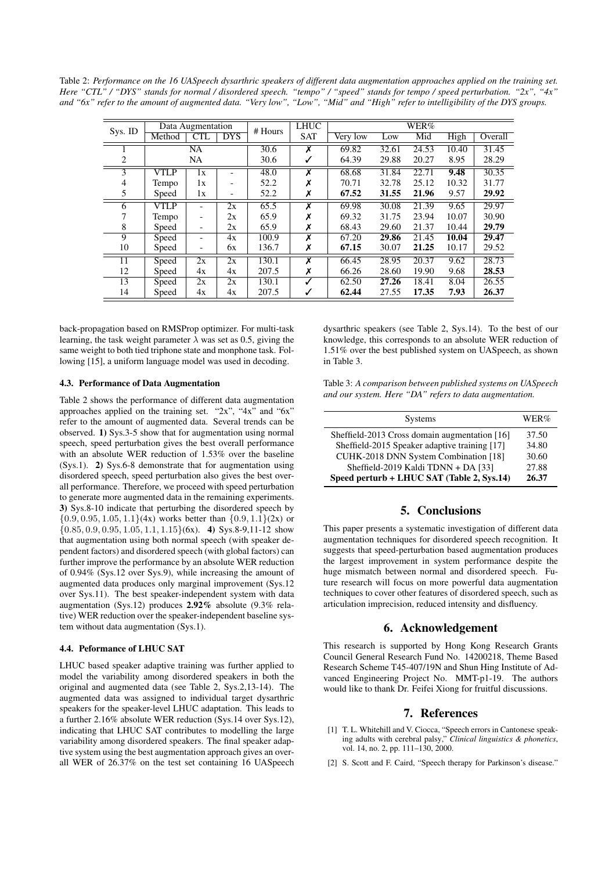Table 2: *Performance on the 16 UASpeech dysarthric speakers of different data augmentation approaches applied on the training set. Here "CTL" / "DYS" stands for normal / disordered speech. "tempo" / "speed" stands for tempo / speed perturbation. "2x", "4x" and "6x" refer to the amount of augmented data. "Very low", "Low", "Mid" and "High" refer to intelligibility of the DYS groups.*

|         | Data Augmentation |            | # Hours                  | <b>LHUC</b> | WER%                    |          |       |       |       |         |
|---------|-------------------|------------|--------------------------|-------------|-------------------------|----------|-------|-------|-------|---------|
| Sys. ID | Method            | <b>CTL</b> | <b>DYS</b>               |             | <b>SAT</b>              | Very low | Low   | Mid   | High  | Overall |
|         |                   | <b>NA</b>  |                          | 30.6        | X                       | 69.82    | 32.61 | 24.53 | 10.40 | 31.45   |
| 2       | <b>NA</b>         |            |                          | 30.6        |                         | 64.39    | 29.88 | 20.27 | 8.95  | 28.29   |
| 3       | VTLP              | 1x         |                          | 48.0        | $\overline{\mathsf{x}}$ | 68.68    | 31.84 | 22.71 | 9.48  | 30.35   |
| 4       | Tempo             | 1x         |                          | 52.2        |                         | 70.71    | 32.78 | 25.12 | 10.32 | 31.77   |
| 5       | Speed             | 1x         | $\overline{\phantom{a}}$ | 52.2        | X                       | 67.52    | 31.55 | 21.96 | 9.57  | 29.92   |
| 6       | <b>VTLP</b>       |            | 2x                       | 65.5        | x                       | 69.98    | 30.08 | 21.39 | 9.65  | 29.97   |
|         | <b>Tempo</b>      |            | 2x                       | 65.9        | X                       | 69.32    | 31.75 | 23.94 | 10.07 | 30.90   |
| 8       | Speed             |            | 2x                       | 65.9        | Х                       | 68.43    | 29.60 | 21.37 | 10.44 | 29.79   |
| 9       | Speed             |            | 4x                       | 100.9       | x                       | 67.20    | 29.86 | 21.45 | 10.04 | 29.47   |
| 10      | Speed             |            | 6x                       | 136.7       | Х                       | 67.15    | 30.07 | 21.25 | 10.17 | 29.52   |
| 11      | Speed             | 2x         | 2x                       | 130.1       | $\overline{\mathbf{x}}$ | 66.45    | 28.95 | 20.37 | 9.62  | 28.73   |
| 12      | Speed             | 4x         | 4x                       | 207.5       | Х                       | 66.26    | 28.60 | 19.90 | 9.68  | 28.53   |
| 13      | Speed             | 2x         | 2x                       | 130.1       |                         | 62.50    | 27.26 | 18.41 | 8.04  | 26.55   |
| 14      | Speed             | 4х         | 4x                       | 207.5       |                         | 62.44    | 27.55 | 17.35 | 7.93  | 26.37   |

back-propagation based on RMSProp optimizer. For multi-task learning, the task weight parameter  $\lambda$  was set as 0.5, giving the same weight to both tied triphone state and monphone task. Following [15], a uniform language model was used in decoding.

# 4.3. Performance of Data Augmentation

Table 2 shows the performance of different data augmentation approaches applied on the training set. "2x", "4x" and "6x" refer to the amount of augmented data. Several trends can be observed. 1) Sys.3-5 show that for augmentation using normal speech, speed perturbation gives the best overall performance with an absolute WER reduction of 1.53% over the baseline (Sys.1). 2) Sys.6-8 demonstrate that for augmentation using disordered speech, speed perturbation also gives the best overall performance. Therefore, we proceed with speed perturbation to generate more augmented data in the remaining experiments. 3) Sys.8-10 indicate that perturbing the disordered speech by  $\{0.9, 0.95, 1.05, 1.1\}$ (4x) works better than  $\{0.9, 1.1\}$ (2x) or  $\{0.85, 0.9, 0.95, 1.05, 1.1, 1.15\}$  (6x). 4) Sys.8-9,11-12 show that augmentation using both normal speech (with speaker dependent factors) and disordered speech (with global factors) can further improve the performance by an absolute WER reduction of 0.94% (Sys.12 over Sys.9), while increasing the amount of augmented data produces only marginal improvement (Sys.12 over Sys.11). The best speaker-independent system with data augmentation (Sys.12) produces 2.92% absolute (9.3% relative) WER reduction over the speaker-independent baseline system without data augmentation (Sys.1).

## 4.4. Peformance of LHUC SAT

LHUC based speaker adaptive training was further applied to model the variability among disordered speakers in both the original and augmented data (see Table 2, Sys.2,13-14). The augmented data was assigned to individual target dysarthric speakers for the speaker-level LHUC adaptation. This leads to a further 2.16% absolute WER reduction (Sys.14 over Sys.12), indicating that LHUC SAT contributes to modelling the large variability among disordered speakers. The final speaker adaptive system using the best augmentation approach gives an overall WER of 26.37% on the test set containing 16 UASpeech dysarthric speakers (see Table 2, Sys.14). To the best of our knowledge, this corresponds to an absolute WER reduction of 1.51% over the best published system on UASpeech, as shown in Table 3.

Table 3: *A comparison between published systems on UASpeech and our system. Here "DA" refers to data augmentation.*

| <b>Systems</b>                                | WER%  |
|-----------------------------------------------|-------|
| Sheffield-2013 Cross domain augmentation [16] | 37.50 |
| Sheffield-2015 Speaker adaptive training [17] | 34.80 |
| CUHK-2018 DNN System Combination [18]         | 30.60 |
| Sheffield-2019 Kaldi TDNN + DA [33]           | 27.88 |
| Speed perturb + LHUC SAT (Table 2, Sys.14)    | 26.37 |

# 5. Conclusions

This paper presents a systematic investigation of different data augmentation techniques for disordered speech recognition. It suggests that speed-perturbation based augmentation produces the largest improvement in system performance despite the huge mismatch between normal and disordered speech. Future research will focus on more powerful data augmentation techniques to cover other features of disordered speech, such as articulation imprecision, reduced intensity and disfluency.

#### 6. Acknowledgement

This research is supported by Hong Kong Research Grants Council General Research Fund No. 14200218, Theme Based Research Scheme T45-407/19N and Shun Hing Institute of Advanced Engineering Project No. MMT-p1-19. The authors would like to thank Dr. Feifei Xiong for fruitful discussions.

#### 7. References

- [1] T. L. Whitehill and V. Ciocca, "Speech errors in Cantonese speaking adults with cerebral palsy," *Clinical linguistics & phonetics*, vol. 14, no. 2, pp. 111–130, 2000.
- [2] S. Scott and F. Caird, "Speech therapy for Parkinson's disease."